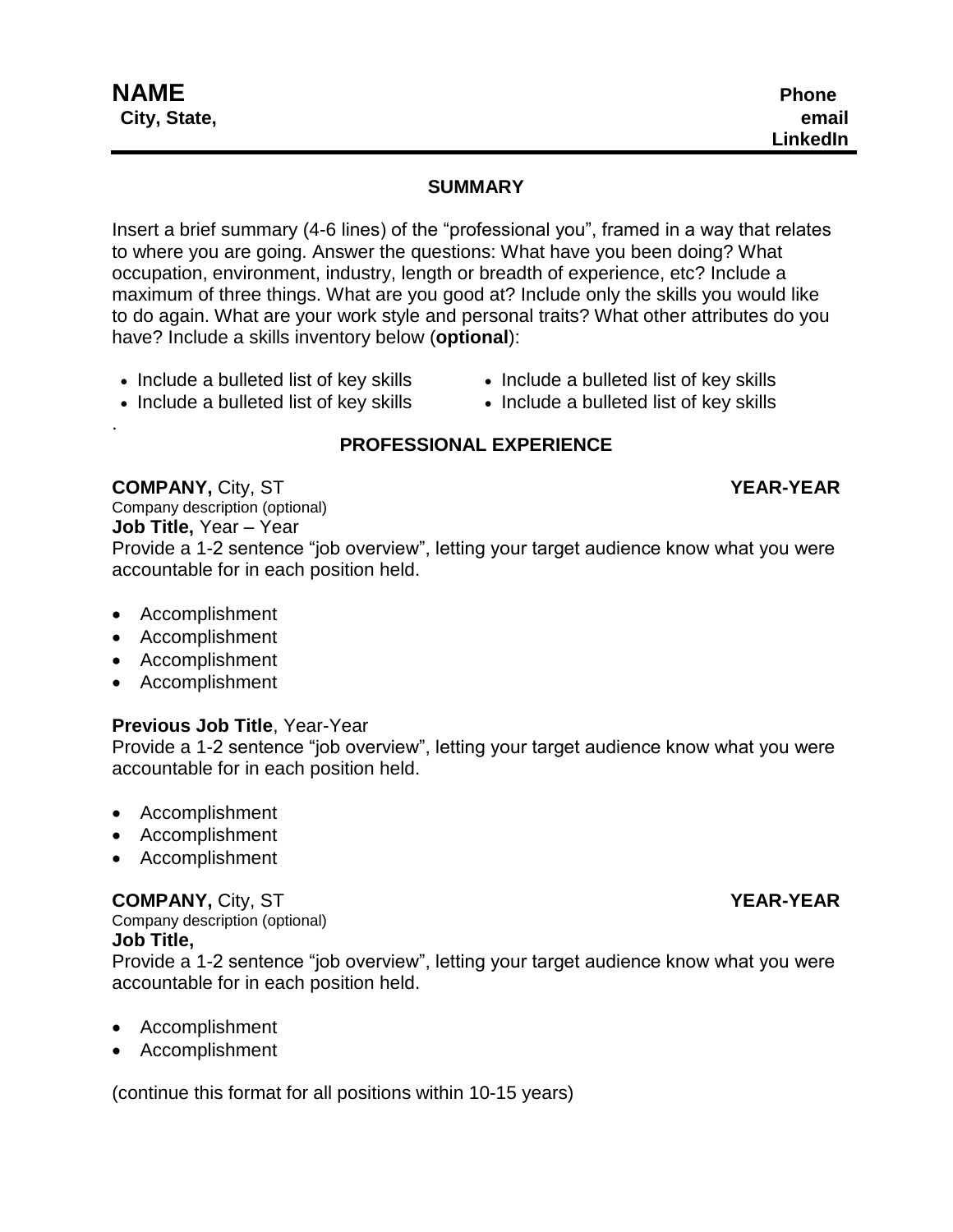.

## **SUMMARY**

Insert a brief summary (4-6 lines) of the "professional you", framed in a way that relates to where you are going. Answer the questions: What have you been doing? What occupation, environment, industry, length or breadth of experience, etc? Include a maximum of three things. What are you good at? Include only the skills you would like to do again. What are your work style and personal traits? What other attributes do you have? Include a skills inventory below (**optional**):

- Include a bulleted list of key skills • Include a bulleted list of key skills
- Include a bulleted list of key skills Include a bulleted list of key skills

# **PROFESSIONAL EXPERIENCE**

**COMPANY,** City, ST **YEAR-YEAR** Company description (optional) **Job Title,** Year – Year Provide a 1-2 sentence "job overview", letting your target audience know what you were accountable for in each position held.

- Accomplishment
- Accomplishment
- Accomplishment
- Accomplishment

### **Previous Job Title**, Year-Year

Provide a 1-2 sentence "job overview", letting your target audience know what you were accountable for in each position held.

- Accomplishment
- Accomplishment
- Accomplishment

# **COMPANY,** City, ST **YEAR-YEAR**

Company description (optional) **Job Title,**

Provide a 1-2 sentence "job overview", letting your target audience know what you were accountable for in each position held.

- Accomplishment
- Accomplishment

(continue this format for all positions within 10-15 years)